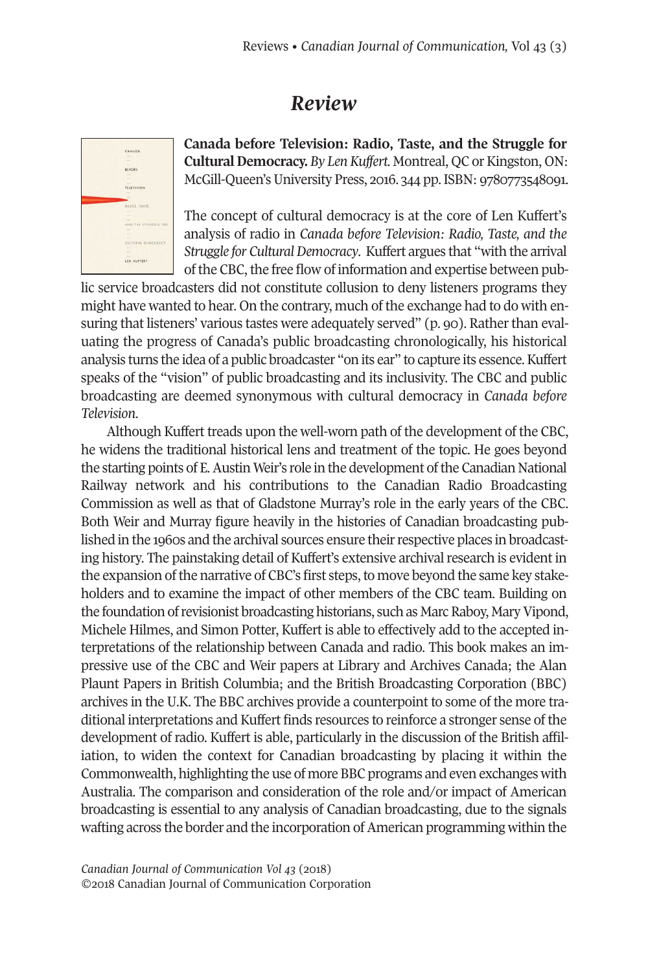## *Review*



**Canada before Television: Radio, Taste, and the Struggle for Cultural Democracy.** By Len Kuffert. Montreal, QC or Kingston, ON: McGill-Queen's University Press, 2016. 344 pp. ISBN: 9780773548091.

The concept of cultural democracy is at the core of Len Kuffert's analysis of radio in *Canada before Television: Radio, Taste, and the Struggle for CulturalDemocracy*. Kuffert argues that "with the arrival of the CBC, the free flow of information and expertise between pub-

lic service broadcasters did not constitute collusion to deny listeners programs they might have wanted to hear. On the contrary, much of the exchange had to do with ensuring that listeners' various tastes were adequately served" (p. 90). Ratherthan evaluating the progress of Canada's public broadcasting chronologically, his historical analysis turns the idea of a public broadcaster "on its ear" to capture its essence. Kuffert speaks of the "vision" of public broadcasting and its inclusivity. The CBC and public broadcasting are deemed synonymous with cultural democracy in *Canada before Television*.

Although Kuffert treads upon the well-worn path of the development of the CBC, he widens the traditional historical lens and treatment of the topic. He goes beyond the starting points of E.Austin Weir's role in the development ofthe Canadian National Railway network and his contributions to the Canadian Radio Broadcasting Commission as well as that of Gladstone Murray's role in the early years of the CBC. Both Weir and Murray figure heavily in the histories of Canadian broadcasting published in the 1960s and the archival sources ensure their respective places in broadcasting history. The painstaking detail of Kuffert's extensive archival research is evident in the expansion of the narrative of CBC's first steps, to move beyond the same key stakeholders and to examine the impact of other members of the CBC team. Building on the foundation of revisionist broadcasting historians, such as Marc Raboy, Mary Vipond, Michele Hilmes, and Simon Potter, Kuffert is able to effectively add to the accepted interpretations of the relationship between Canada and radio. This book makes an impressive use of the CBC and Weir papers at Library and Archives Canada; the Alan Plaunt Papers in British Columbia; and the British Broadcasting Corporation (BBC) archives in the U.K. The BBC archives provide a counterpoint to some of the more traditional interpretations and Kuffert finds resources to reinforce a stronger sense of the development of radio. Kuffert is able, particularly in the discussion of the British affiliation, to widen the context for Canadian broadcasting by placing it within the Commonwealth, highlighting the use of more BBC programs and even exchanges with Australia. The comparison and consideration of the role and/or impact of American broadcasting is essential to any analysis of Canadian broadcasting, due to the signals wafting across the border and the incorporation of American programming within the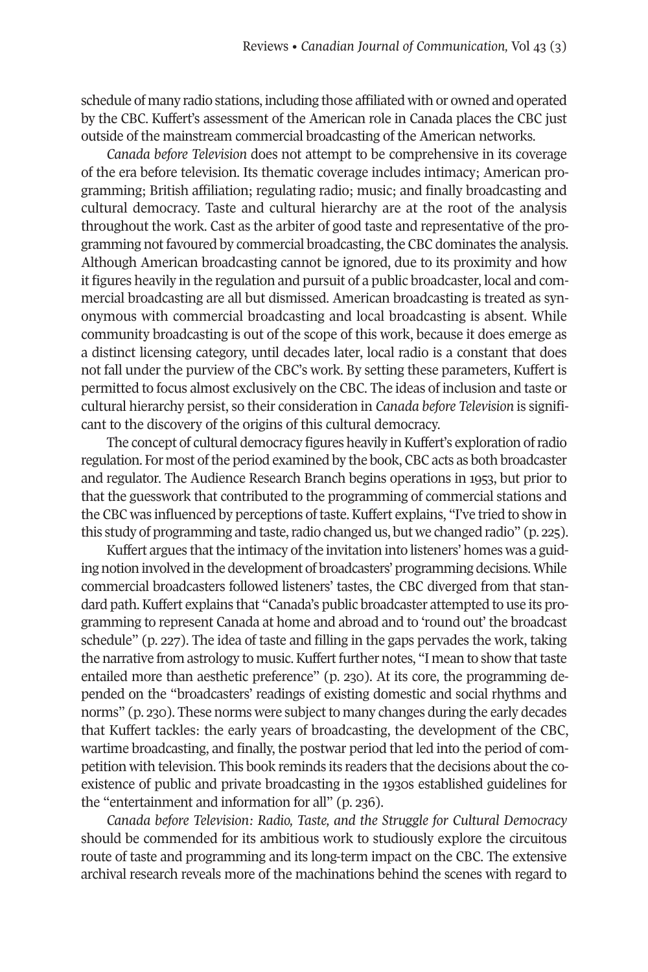schedule of many radio stations, including those affiliated with or owned and operated by the CBC. Kuffert's assessment of the American role in Canada places the CBC just outside of the mainstream commercial broadcasting of the American networks.

*Canada before Television* does not attempt to be comprehensive in its coverage of the era before television. Its thematic coverage includes intimacy; American programming; British affiliation; regulating radio; music; and finally broadcasting and cultural democracy. Taste and cultural hierarchy are at the root of the analysis throughout the work. Cast as the arbiter of good taste and representative of the programming not favoured by commercial broadcasting, the CBC dominates the analysis. Although American broadcasting cannot be ignored, due to its proximity and how it figures heavily in the regulation and pursuit of a public broadcaster, local and commercial broadcasting are all but dismissed. American broadcasting is treated as synonymous with commercial broadcasting and local broadcasting is absent. While community broadcasting is out of the scope of this work, because it does emerge as a distinct licensing category, until decades later, local radio is a constant that does not fall under the purview of the CBC's work. By setting these parameters, Kuffert is permitted to focus almost exclusively on the CBC. The ideas of inclusion and taste or cultural hierarchy persist, so their consideration in *Canada before Television* is significant to the discovery of the origins of this cultural democracy.

The concept of cultural democracy figures heavily in Kuffert's exploration of radio regulation. For most ofthe period examined by the book, CBC acts as both broadcaster and regulator. The Audience Research Branch begins operations in 1953, but prior to that the guesswork that contributed to the programming of commercial stations and the CBC was influenced by perceptions of taste. Kuffert explains, "I've tried to show in this study of programming and taste, radio changed us, but we changed radio" (p. 225).

Kuffert argues that the intimacy of the invitation into listeners' homes was a guiding notion involved in the development of broadcasters' programming decisions. While commercial broadcasters followed listeners' tastes, the CBC diverged from that standard path.Kuffert explains that "Canada's public broadcaster attempted to use its programming to represent Canada at home and abroad and to 'round out' the broadcast schedule" (p. 227). The idea of taste and filling in the gaps pervades the work, taking the narrative from astrology to music. Kuffert further notes, "I mean to show that taste entailed more than aesthetic preference" (p. 230). At its core, the programming depended on the "broadcasters' readings of existing domestic and social rhythms and norms" (p. 230). These norms were subject to many changes during the early decades that Kuffert tackles: the early years of broadcasting, the development of the CBC, wartime broadcasting, and finally, the postwar period that led into the period of competition with television. This book reminds its readers that the decisions about the coexistence of public and private broadcasting in the 1930s established guidelines for the "entertainment and information for all" (p. 236).

*Canada before Television: Radio, Taste, and the Struggle for Cultural Democracy* should be commended for its ambitious work to studiously explore the circuitous route of taste and programming and its long-term impact on the CBC. The extensive archival research reveals more of the machinations behind the scenes with regard to